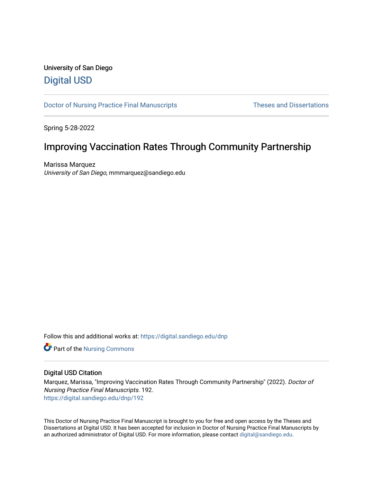# University of San Diego [Digital USD](https://digital.sandiego.edu/)

[Doctor of Nursing Practice Final Manuscripts](https://digital.sandiego.edu/dnp) Theses and Dissertations

Spring 5-28-2022

# Improving Vaccination Rates Through Community Partnership

Marissa Marquez University of San Diego, mmmarquez@sandiego.edu

Follow this and additional works at: [https://digital.sandiego.edu/dnp](https://digital.sandiego.edu/dnp?utm_source=digital.sandiego.edu%2Fdnp%2F192&utm_medium=PDF&utm_campaign=PDFCoverPages) 

**Part of the Nursing Commons** 

### Digital USD Citation

Marquez, Marissa, "Improving Vaccination Rates Through Community Partnership" (2022). Doctor of Nursing Practice Final Manuscripts. 192. [https://digital.sandiego.edu/dnp/192](https://digital.sandiego.edu/dnp/192?utm_source=digital.sandiego.edu%2Fdnp%2F192&utm_medium=PDF&utm_campaign=PDFCoverPages) 

This Doctor of Nursing Practice Final Manuscript is brought to you for free and open access by the Theses and Dissertations at Digital USD. It has been accepted for inclusion in Doctor of Nursing Practice Final Manuscripts by an authorized administrator of Digital USD. For more information, please contact [digital@sandiego.edu](mailto:digital@sandiego.edu).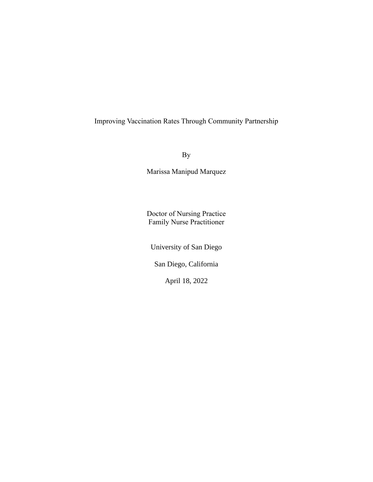## Improving Vaccination Rates Through Community Partnership

By

Marissa Manipud Marquez

Doctor of Nursing Practice Family Nurse Practitioner

University of San Diego

San Diego, California

April 18, 2022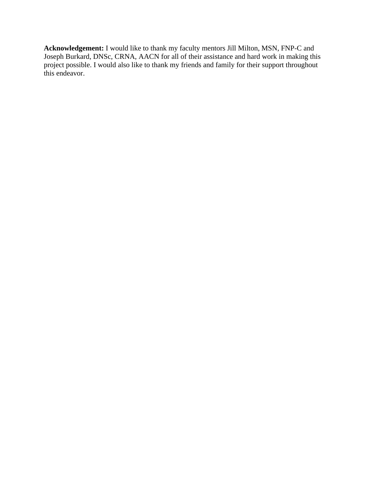**Acknowledgement:** I would like to thank my faculty mentors Jill Milton, MSN, FNP-C and Joseph Burkard, DNSc, CRNA, AACN for all of their assistance and hard work in making this project possible. I would also like to thank my friends and family for their support throughout this endeavor.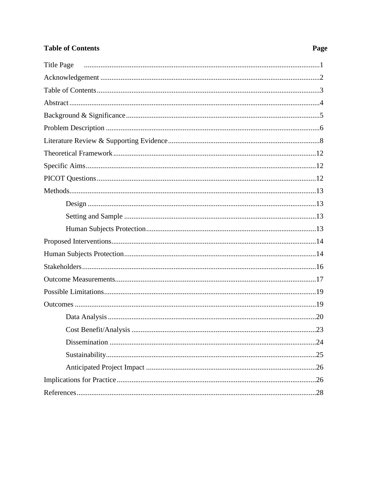# **Table of Contents**

# Page

| <b>Title Page</b> |
|-------------------|
|                   |
|                   |
|                   |
|                   |
|                   |
|                   |
|                   |
|                   |
|                   |
|                   |
|                   |
|                   |
|                   |
|                   |
|                   |
|                   |
|                   |
|                   |
|                   |
|                   |
|                   |
| .24               |
|                   |
|                   |
|                   |
|                   |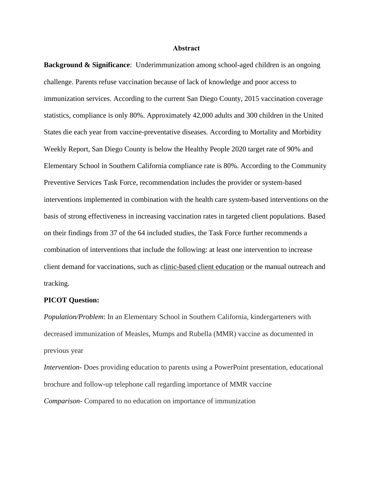#### **Abstract**

**Background & Significance**: Underimmunization among school-aged children is an ongoing challenge. Parents refuse vaccination because of lack of knowledge and poor access to immunization services. According to the current San Diego County, 2015 vaccination coverage statistics, compliance is only 80%. Approximately 42,000 adults and 300 children in the United States die each year from vaccine-preventative diseases. According to Mortality and Morbidity Weekly Report, San Diego County is below the Healthy People 2020 target rate of 90% and Elementary School in Southern California compliance rate is 80%. According to the Community Preventive Services Task Force, recommendation includes the provider or system-based interventions implemented in combination with the health care system-based interventions on the basis of strong effectiveness in increasing vaccination rates in targeted client populations. Based on their findings from 37 of the 64 included studies, the Task Force further recommends a combination of interventions that include the following: at least one intervention to increase client demand for vaccinations, such as [clinic-based client education](http://www.thecommunityguide.org/vaccines/clinicbasededucation.html) or the manual outreach and tracking.

#### **PICOT Question:**

*Population/Problem*: In an Elementary School in Southern California, kindergarteners with decreased immunization of Measles, Mumps and Rubella (MMR) vaccine as documented in previous year

*Intervention*- Does providing education to parents using a PowerPoint presentation, educational brochure and follow-up telephone call regarding importance of MMR vaccine *Comparison-* Compared to no education on importance of immunization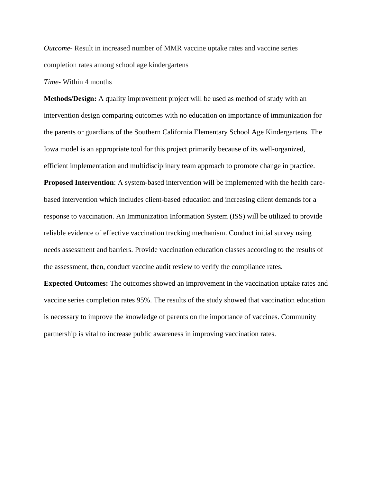*Outcome-* Result in increased number of MMR vaccine uptake rates and vaccine series completion rates among school age kindergartens

*Time-* Within 4 months

**Methods/Design:** A quality improvement project will be used as method of study with an intervention design comparing outcomes with no education on importance of immunization for the parents or guardians of the Southern California Elementary School Age Kindergartens. The Iowa model is an appropriate tool for this project primarily because of its well-organized, efficient implementation and multidisciplinary team approach to promote change in practice.

**Proposed Intervention**: A system-based intervention will be implemented with the health carebased intervention which includes client-based education and increasing client demands for a response to vaccination. An Immunization Information System (ISS) will be utilized to provide reliable evidence of effective vaccination tracking mechanism. Conduct initial survey using needs assessment and barriers. Provide vaccination education classes according to the results of the assessment, then, conduct vaccine audit review to verify the compliance rates.

**Expected Outcomes:** The outcomes showed an improvement in the vaccination uptake rates and vaccine series completion rates 95%. The results of the study showed that vaccination education is necessary to improve the knowledge of parents on the importance of vaccines. Community partnership is vital to increase public awareness in improving vaccination rates.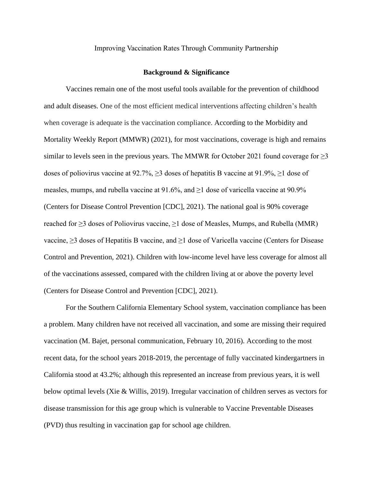#### Improving Vaccination Rates Through Community Partnership

#### **Background & Significance**

Vaccines remain one of the most useful tools available for the prevention of childhood and adult diseases. One of the most efficient medical interventions affecting children's health when coverage is adequate is the vaccination compliance. According to the Morbidity and Mortality Weekly Report (MMWR) (2021), for most vaccinations, coverage is high and remains similar to levels seen in the previous years. The MMWR for October 2021 found coverage for  $\geq$ 3 doses of poliovirus vaccine at 92.7%,  $\geq$ 3 doses of hepatitis B vaccine at 91.9%,  $\geq$ 1 dose of measles, mumps, and rubella vaccine at  $91.6\%$ , and  $\geq 1$  dose of varicella vaccine at  $90.9\%$ (Centers for Disease Control Prevention [CDC], 2021). The national goal is 90% coverage reached for ≥3 doses of Poliovirus vaccine, ≥1 dose of Measles, Mumps, and Rubella (MMR) vaccine, ≥3 doses of Hepatitis B vaccine, and ≥1 dose of Varicella vaccine (Centers for Disease Control and Prevention, 2021). Children with low-income level have less coverage for almost all of the vaccinations assessed, compared with the children living at or above the poverty level (Centers for Disease Control and Prevention [CDC], 2021).

For the Southern California Elementary School system, vaccination compliance has been a problem. Many children have not received all vaccination, and some are missing their required vaccination (M. Bajet, personal communication, February 10, 2016). According to the most recent data, for the school years 2018-2019, the percentage of fully vaccinated kindergartners in California stood at 43.2%; although this represented an increase from previous years, it is well below optimal levels (Xie & Willis, 2019). Irregular vaccination of children serves as vectors for disease transmission for this age group which is vulnerable to Vaccine Preventable Diseases (PVD) thus resulting in vaccination gap for school age children.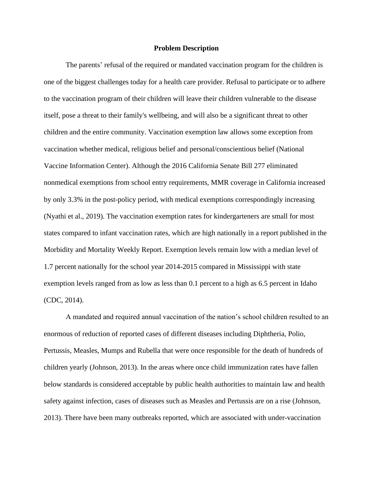#### **Problem Description**

The parents' refusal of the required or mandated vaccination program for the children is one of the biggest challenges today for a health care provider. Refusal to participate or to adhere to the vaccination program of their children will leave their children vulnerable to the disease itself, pose a threat to their family's wellbeing, and will also be a significant threat to other children and the entire community. Vaccination exemption law allows some exception from vaccination whether medical, religious belief and personal/conscientious belief (National Vaccine Information Center). Although the 2016 California Senate Bill 277 eliminated nonmedical exemptions from school entry requirements, MMR coverage in California increased by only 3.3% in the post-policy period, with medical exemptions correspondingly increasing (Nyathi et al., 2019). The vaccination exemption rates for kindergarteners are small for most states compared to infant vaccination rates, which are high nationally in a report published in the Morbidity and Mortality Weekly Report. Exemption levels remain low with a median level of 1.7 percent nationally for the school year 2014-2015 compared in Mississippi with state exemption levels ranged from as low as less than 0.1 percent to a high as 6.5 percent in Idaho (CDC, 2014).

A mandated and required annual vaccination of the nation's school children resulted to an enormous of reduction of reported cases of different diseases including Diphtheria, Polio, Pertussis, Measles, Mumps and Rubella that were once responsible for the death of hundreds of children yearly (Johnson, 2013). In the areas where once child immunization rates have fallen below standards is considered acceptable by public health authorities to maintain law and health safety against infection, cases of diseases such as Measles and Pertussis are on a rise (Johnson, 2013). There have been many outbreaks reported, which are associated with under-vaccination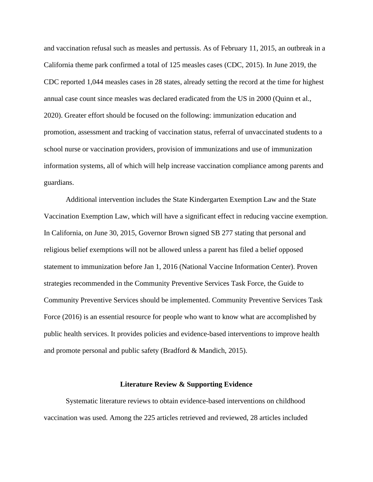and vaccination refusal such as measles and pertussis. As of February 11, 2015, an outbreak in a California theme park confirmed a total of 125 measles cases (CDC, 2015). In June 2019, the CDC reported 1,044 measles cases in 28 states, already setting the record at the time for highest annual case count since measles was declared eradicated from the US in 2000 (Quinn et al., 2020). Greater effort should be focused on the following: immunization education and promotion, assessment and tracking of vaccination status, referral of unvaccinated students to a school nurse or vaccination providers, provision of immunizations and use of immunization information systems, all of which will help increase vaccination compliance among parents and guardians.

Additional intervention includes the State Kindergarten Exemption Law and the State Vaccination Exemption Law, which will have a significant effect in reducing vaccine exemption. In California, on June 30, 2015, Governor Brown signed SB 277 stating that personal and religious belief exemptions will not be allowed unless a parent has filed a belief opposed statement to immunization before Jan 1, 2016 (National Vaccine Information Center). Proven strategies recommended in the Community Preventive Services Task Force, the Guide to Community Preventive Services should be implemented. Community Preventive Services Task Force (2016) is an essential resource for people who want to know what are accomplished by public health services. It provides policies and evidence-based interventions to improve health and promote personal and public safety (Bradford & Mandich, 2015).

#### **Literature Review & Supporting Evidence**

Systematic literature reviews to obtain evidence-based interventions on childhood vaccination was used. Among the 225 articles retrieved and reviewed, 28 articles included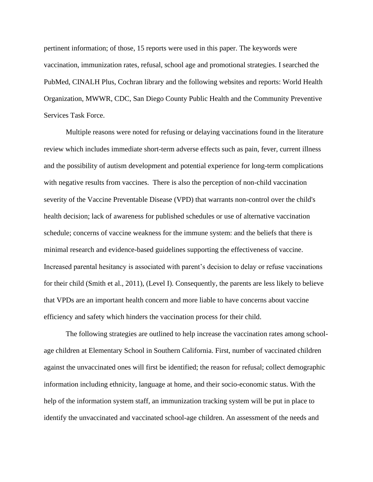pertinent information; of those, 15 reports were used in this paper. The keywords were vaccination, immunization rates, refusal, school age and promotional strategies. I searched the PubMed, CINALH Plus, Cochran library and the following websites and reports: World Health Organization, MWWR, CDC, San Diego County Public Health and the Community Preventive Services Task Force.

Multiple reasons were noted for refusing or delaying vaccinations found in the literature review which includes immediate short-term adverse effects such as pain, fever, current illness and the possibility of autism development and potential experience for long-term complications with negative results from vaccines. There is also the perception of non-child vaccination severity of the Vaccine Preventable Disease (VPD) that warrants non-control over the child's health decision; lack of awareness for published schedules or use of alternative vaccination schedule; concerns of vaccine weakness for the immune system: and the beliefs that there is minimal research and evidence-based guidelines supporting the effectiveness of vaccine. Increased parental hesitancy is associated with parent's decision to delay or refuse vaccinations for their child (Smith et al., 2011), (Level I). Consequently, the parents are less likely to believe that VPDs are an important health concern and more liable to have concerns about vaccine efficiency and safety which hinders the vaccination process for their child.

The following strategies are outlined to help increase the vaccination rates among schoolage children at Elementary School in Southern California. First, number of vaccinated children against the unvaccinated ones will first be identified; the reason for refusal; collect demographic information including ethnicity, language at home, and their socio-economic status. With the help of the information system staff, an immunization tracking system will be put in place to identify the unvaccinated and vaccinated school-age children. An assessment of the needs and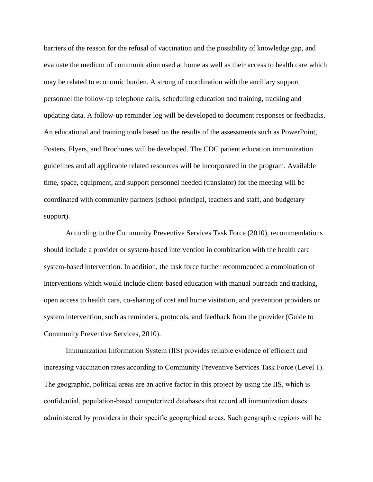barriers of the reason for the refusal of vaccination and the possibility of knowledge gap, and evaluate the medium of communication used at home as well as their access to health care which may be related to economic burden. A strong of coordination with the ancillary support personnel the follow-up telephone calls, scheduling education and training, tracking and updating data. A follow-up reminder log will be developed to document responses or feedbacks. An educational and training tools based on the results of the assessments such as PowerPoint, Posters, Flyers, and Brochures will be developed. The CDC patient education immunization guidelines and all applicable related resources will be incorporated in the program. Available time, space, equipment, and support personnel needed (translator) for the meeting will be coordinated with community partners (school principal, teachers and staff, and budgetary support).

According to the Community Preventive Services Task Force (2010), recommendations should include a provider or system-based intervention in combination with the health care system-based intervention. In addition, the task force further recommended a combination of interventions which would include client-based education with manual outreach and tracking, open access to health care, co-sharing of cost and home visitation, and prevention providers or system intervention, such as reminders, protocols, and feedback from the provider (Guide to Community Preventive Services, 2010).

Immunization Information System (IIS) provides reliable evidence of efficient and increasing vaccination rates according to Community Preventive Services Task Force (Level 1). The geographic, political areas are an active factor in this project by using the IIS, which is confidential, population-based computerized databases that record all immunization doses administered by providers in their specific geographical areas. Such geographic regions will be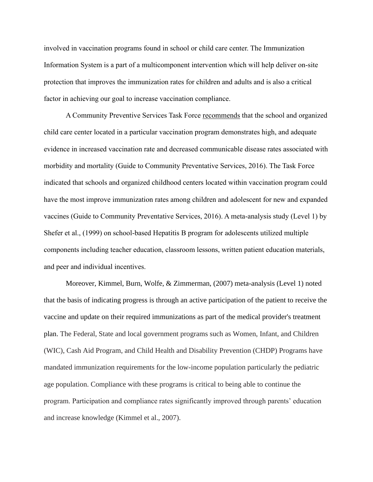involved in vaccination programs found in school or child care center. The Immunization Information System is a part of a multicomponent intervention which will help deliver on-site protection that improves the immunization rates for children and adults and is also a critical factor in achieving our goal to increase vaccination compliance.

A Community Preventive Services Task Force [recommends](http://www.thecommunityguide.org/about/categories.html) that the school and organized child care center located in a particular vaccination program demonstrates high, and adequate evidence in increased vaccination rate and decreased communicable disease rates associated with morbidity and mortality (Guide to Community Preventative Services, 2016). The Task Force indicated that schools and organized childhood centers located within vaccination program could have the most improve immunization rates among children and adolescent for new and expanded vaccines (Guide to Community Preventative Services, 2016). A meta-analysis study (Level 1) by Shefer et al., (1999) on school-based Hepatitis B program for adolescents utilized multiple components including teacher education, classroom lessons, written patient education materials, and peer and individual incentives.

Moreover, Kimmel, Burn, Wolfe, & Zimmerman, (2007) meta-analysis (Level 1) noted that the basis of indicating progress is through an active participation of the patient to receive the vaccine and update on their required immunizations as part of the medical provider's treatment plan. The Federal, State and local government programs such as Women, Infant, and Children (WIC), Cash Aid Program, and Child Health and Disability Prevention (CHDP) Programs have mandated immunization requirements for the low-income population particularly the pediatric age population. Compliance with these programs is critical to being able to continue the program. Participation and compliance rates significantly improved through parents' education and increase knowledge (Kimmel et al., 2007).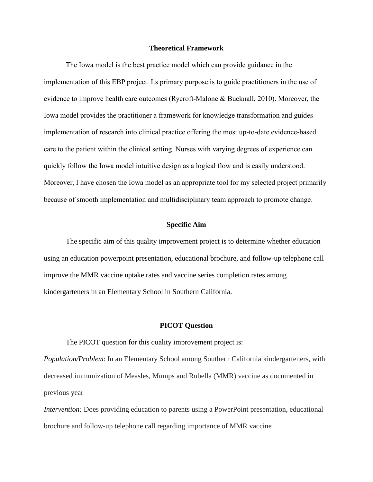#### **Theoretical Framework**

The Iowa model is the best practice model which can provide guidance in the implementation of this EBP project. Its primary purpose is to guide practitioners in the use of evidence to improve health care outcomes (Rycroft-Malone & Bucknall, 2010). Moreover, the Iowa model provides the practitioner a framework for knowledge transformation and guides implementation of research into clinical practice offering the most up-to-date evidence-based care to the patient within the clinical setting. Nurses with varying degrees of experience can quickly follow the Iowa model intuitive design as a logical flow and is easily understood. Moreover, I have chosen the Iowa model as an appropriate tool for my selected project primarily because of smooth implementation and multidisciplinary team approach to promote change.

### **Specific Aim**

The specific aim of this quality improvement project is to determine whether education using an education powerpoint presentation, educational brochure, and follow-up telephone call improve the MMR vaccine uptake rates and vaccine series completion rates among kindergarteners in an Elementary School in Southern California.

#### **PICOT Question**

The PICOT question for this quality improvement project is:

*Population/Problem*: In an Elementary School among Southern California kindergarteners, with decreased immunization of Measles, Mumps and Rubella (MMR) vaccine as documented in previous year

*Intervention:* Does providing education to parents using a PowerPoint presentation, educational brochure and follow-up telephone call regarding importance of MMR vaccine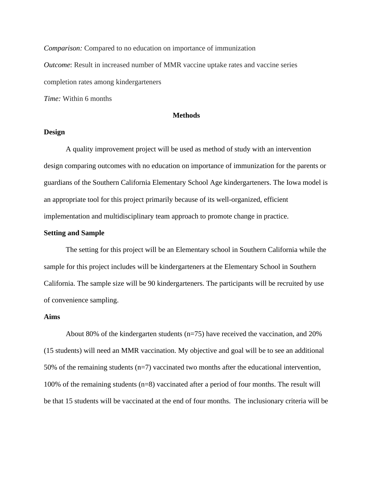*Comparison:* Compared to no education on importance of immunization *Outcome*: Result in increased number of MMR vaccine uptake rates and vaccine series completion rates among kindergarteners *Time:* Within 6 months

#### **Methods**

#### **Design**

A quality improvement project will be used as method of study with an intervention design comparing outcomes with no education on importance of immunization for the parents or guardians of the Southern California Elementary School Age kindergarteners. The Iowa model is an appropriate tool for this project primarily because of its well-organized, efficient implementation and multidisciplinary team approach to promote change in practice.

### **Setting and Sample**

The setting for this project will be an Elementary school in Southern California while the sample for this project includes will be kindergarteners at the Elementary School in Southern California. The sample size will be 90 kindergarteners. The participants will be recruited by use of convenience sampling.

#### **Aims**

About 80% of the kindergarten students (n=75) have received the vaccination, and 20% (15 students) will need an MMR vaccination. My objective and goal will be to see an additional 50% of the remaining students ( $n=7$ ) vaccinated two months after the educational intervention, 100% of the remaining students (n=8) vaccinated after a period of four months. The result will be that 15 students will be vaccinated at the end of four months. The inclusionary criteria will be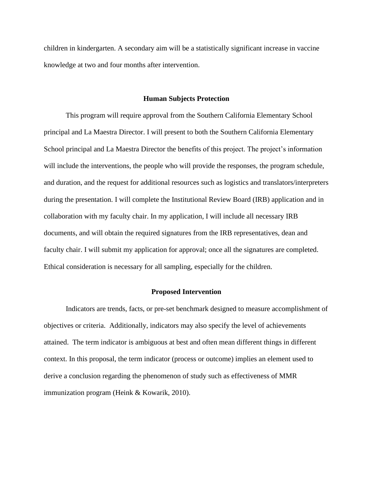children in kindergarten. A secondary aim will be a statistically significant increase in vaccine knowledge at two and four months after intervention.

#### **Human Subjects Protection**

This program will require approval from the Southern California Elementary School principal and La Maestra Director. I will present to both the Southern California Elementary School principal and La Maestra Director the benefits of this project. The project's information will include the interventions, the people who will provide the responses, the program schedule, and duration, and the request for additional resources such as logistics and translators/interpreters during the presentation. I will complete the Institutional Review Board (IRB) application and in collaboration with my faculty chair. In my application, I will include all necessary IRB documents, and will obtain the required signatures from the IRB representatives, dean and faculty chair. I will submit my application for approval; once all the signatures are completed. Ethical consideration is necessary for all sampling, especially for the children.

#### **Proposed Intervention**

Indicators are trends, facts, or pre-set benchmark designed to measure accomplishment of objectives or criteria. Additionally, indicators may also specify the level of achievements attained. The term indicator is ambiguous at best and often mean different things in different context. In this proposal, the term indicator (process or outcome) implies an element used to derive a conclusion regarding the phenomenon of study such as effectiveness of MMR immunization program (Heink & Kowarik, 2010).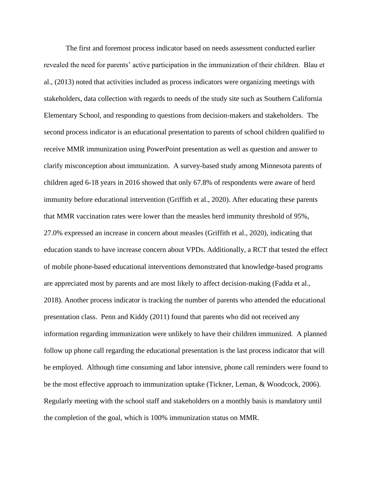The first and foremost process indicator based on needs assessment conducted earlier revealed the need for parents' active participation in the immunization of their children. Blau et al., (2013) noted that activities included as process indicators were organizing meetings with stakeholders, data collection with regards to needs of the study site such as Southern California Elementary School, and responding to questions from decision-makers and stakeholders. The second process indicator is an educational presentation to parents of school children qualified to receive MMR immunization using PowerPoint presentation as well as question and answer to clarify misconception about immunization. A survey-based study among Minnesota parents of children aged 6-18 years in 2016 showed that only 67.8% of respondents were aware of herd immunity before educational intervention (Griffith et al., 2020). After educating these parents that MMR vaccination rates were lower than the measles herd immunity threshold of 95%, 27.0% expressed an increase in concern about measles (Griffith et al., 2020), indicating that education stands to have increase concern about VPDs. Additionally, a RCT that tested the effect of mobile phone-based educational interventions demonstrated that knowledge-based programs are appreciated most by parents and are most likely to affect decision-making (Fadda et al., 2018). Another process indicator is tracking the number of parents who attended the educational presentation class. Penn and Kiddy (2011) found that parents who did not received any information regarding immunization were unlikely to have their children immunized. A planned follow up phone call regarding the educational presentation is the last process indicator that will be employed. Although time consuming and labor intensive, phone call reminders were found to be the most effective approach to immunization uptake (Tickner, Leman, & Woodcock, 2006). Regularly meeting with the school staff and stakeholders on a monthly basis is mandatory until the completion of the goal, which is 100% immunization status on MMR.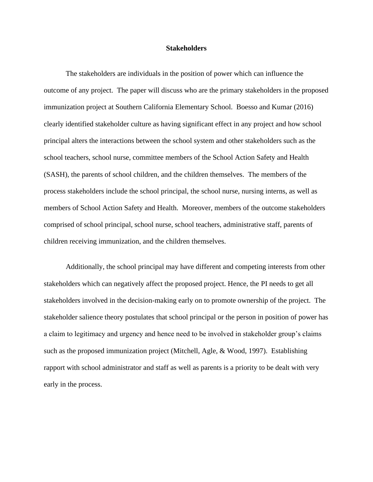#### **Stakeholders**

The stakeholders are individuals in the position of power which can influence the outcome of any project. The paper will discuss who are the primary stakeholders in the proposed immunization project at Southern California Elementary School. Boesso and Kumar (2016) clearly identified stakeholder culture as having significant effect in any project and how school principal alters the interactions between the school system and other stakeholders such as the school teachers, school nurse, committee members of the School Action Safety and Health (SASH), the parents of school children, and the children themselves. The members of the process stakeholders include the school principal, the school nurse, nursing interns, as well as members of School Action Safety and Health. Moreover, members of the outcome stakeholders comprised of school principal, school nurse, school teachers, administrative staff, parents of children receiving immunization, and the children themselves.

Additionally, the school principal may have different and competing interests from other stakeholders which can negatively affect the proposed project. Hence, the PI needs to get all stakeholders involved in the decision-making early on to promote ownership of the project. The stakeholder salience theory postulates that school principal or the person in position of power has a claim to legitimacy and urgency and hence need to be involved in stakeholder group's claims such as the proposed immunization project (Mitchell, Agle, & Wood, 1997). Establishing rapport with school administrator and staff as well as parents is a priority to be dealt with very early in the process.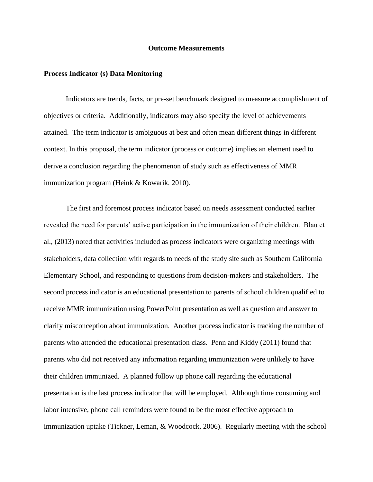#### **Outcome Measurements**

#### **Process Indicator (s) Data Monitoring**

Indicators are trends, facts, or pre-set benchmark designed to measure accomplishment of objectives or criteria. Additionally, indicators may also specify the level of achievements attained. The term indicator is ambiguous at best and often mean different things in different context. In this proposal, the term indicator (process or outcome) implies an element used to derive a conclusion regarding the phenomenon of study such as effectiveness of MMR immunization program (Heink & Kowarik, 2010).

The first and foremost process indicator based on needs assessment conducted earlier revealed the need for parents' active participation in the immunization of their children. Blau et al., (2013) noted that activities included as process indicators were organizing meetings with stakeholders, data collection with regards to needs of the study site such as Southern California Elementary School, and responding to questions from decision-makers and stakeholders. The second process indicator is an educational presentation to parents of school children qualified to receive MMR immunization using PowerPoint presentation as well as question and answer to clarify misconception about immunization. Another process indicator is tracking the number of parents who attended the educational presentation class. Penn and Kiddy (2011) found that parents who did not received any information regarding immunization were unlikely to have their children immunized. A planned follow up phone call regarding the educational presentation is the last process indicator that will be employed. Although time consuming and labor intensive, phone call reminders were found to be the most effective approach to immunization uptake (Tickner, Leman, & Woodcock, 2006). Regularly meeting with the school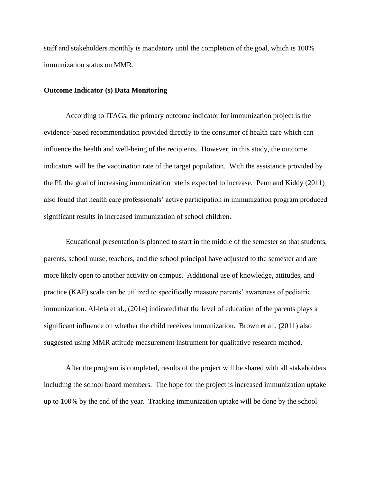staff and stakeholders monthly is mandatory until the completion of the goal, which is 100% immunization status on MMR.

#### **Outcome Indicator (s) Data Monitoring**

According to ITAGs, the primary outcome indicator for immunization project is the evidence-based recommendation provided directly to the consumer of health care which can influence the health and well-being of the recipients. However, in this study, the outcome indicators will be the vaccination rate of the target population. With the assistance provided by the PI, the goal of increasing immunization rate is expected to increase. Penn and Kiddy (2011) also found that health care professionals' active participation in immunization program produced significant results in increased immunization of school children.

Educational presentation is planned to start in the middle of the semester so that students, parents, school nurse, teachers, and the school principal have adjusted to the semester and are more likely open to another activity on campus. Additional use of knowledge, attitudes, and practice (KAP) scale can be utilized to specifically measure parents' awareness of pediatric immunization. Al-lela et al., (2014) indicated that the level of education of the parents plays a significant influence on whether the child receives immunization. Brown et al., (2011) also suggested using MMR attitude measurement instrument for qualitative research method.

After the program is completed, results of the project will be shared with all stakeholders including the school board members. The hope for the project is increased immunization uptake up to 100% by the end of the year. Tracking immunization uptake will be done by the school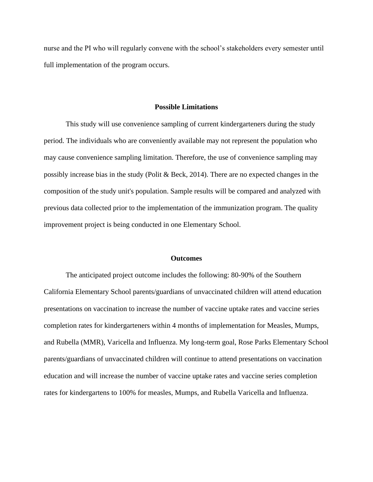nurse and the PI who will regularly convene with the school's stakeholders every semester until full implementation of the program occurs.

#### **Possible Limitations**

This study will use convenience sampling of current kindergarteners during the study period. The individuals who are conveniently available may not represent the population who may cause convenience sampling limitation. Therefore, the use of convenience sampling may possibly increase bias in the study (Polit & Beck, 2014). There are no expected changes in the composition of the study unit's population. Sample results will be compared and analyzed with previous data collected prior to the implementation of the immunization program. The quality improvement project is being conducted in one Elementary School.

#### **Outcomes**

The anticipated project outcome includes the following: 80-90% of the Southern California Elementary School parents/guardians of unvaccinated children will attend education presentations on vaccination to increase the number of vaccine uptake rates and vaccine series completion rates for kindergarteners within 4 months of implementation for Measles, Mumps, and Rubella (MMR), Varicella and Influenza. My long-term goal, Rose Parks Elementary School parents/guardians of unvaccinated children will continue to attend presentations on vaccination education and will increase the number of vaccine uptake rates and vaccine series completion rates for kindergartens to 100% for measles, Mumps, and Rubella Varicella and Influenza.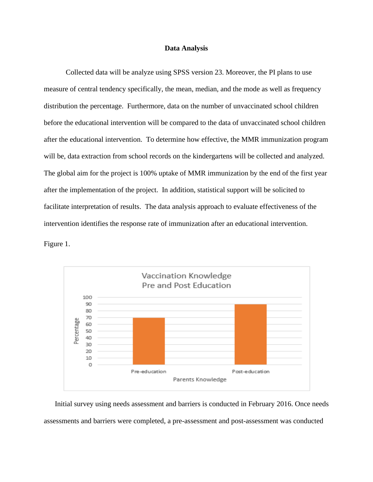#### **Data Analysis**

Collected data will be analyze using SPSS version 23. Moreover, the PI plans to use measure of central tendency specifically, the mean, median, and the mode as well as frequency distribution the percentage. Furthermore, data on the number of unvaccinated school children before the educational intervention will be compared to the data of unvaccinated school children after the educational intervention. To determine how effective, the MMR immunization program will be, data extraction from school records on the kindergartens will be collected and analyzed. The global aim for the project is 100% uptake of MMR immunization by the end of the first year after the implementation of the project. In addition, statistical support will be solicited to facilitate interpretation of results. The data analysis approach to evaluate effectiveness of the intervention identifies the response rate of immunization after an educational intervention.

Figure 1.



Initial survey using needs assessment and barriers is conducted in February 2016. Once needs assessments and barriers were completed, a pre-assessment and post-assessment was conducted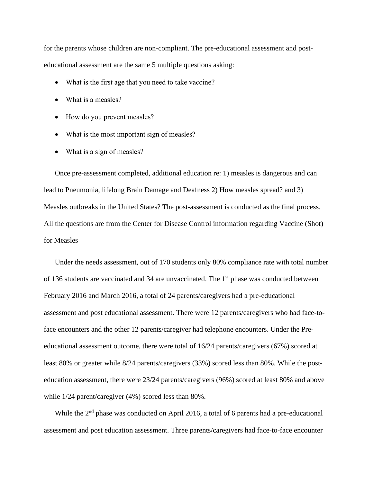for the parents whose children are non-compliant. The pre-educational assessment and posteducational assessment are the same 5 multiple questions asking:

- What is the first age that you need to take vaccine?
- What is a measles?
- How do you prevent measles?
- What is the most important sign of measles?
- What is a sign of measles?

Once pre-assessment completed, additional education re: 1) measles is dangerous and can lead to Pneumonia, lifelong Brain Damage and Deafness 2) How measles spread? and 3) Measles outbreaks in the United States? The post-assessment is conducted as the final process. All the questions are from the Center for Disease Control information regarding Vaccine (Shot) for Measles

Under the needs assessment, out of 170 students only 80% compliance rate with total number of 136 students are vaccinated and 34 are unvaccinated. The 1<sup>st</sup> phase was conducted between February 2016 and March 2016, a total of 24 parents/caregivers had a pre-educational assessment and post educational assessment. There were 12 parents/caregivers who had face-toface encounters and the other 12 parents/caregiver had telephone encounters. Under the Preeducational assessment outcome, there were total of 16/24 parents/caregivers (67%) scored at least 80% or greater while 8/24 parents/caregivers (33%) scored less than 80%. While the posteducation assessment, there were 23/24 parents/caregivers (96%) scored at least 80% and above while 1/24 parent/caregiver (4%) scored less than 80%.

While the  $2<sup>nd</sup>$  phase was conducted on April 2016, a total of 6 parents had a pre-educational assessment and post education assessment. Three parents/caregivers had face-to-face encounter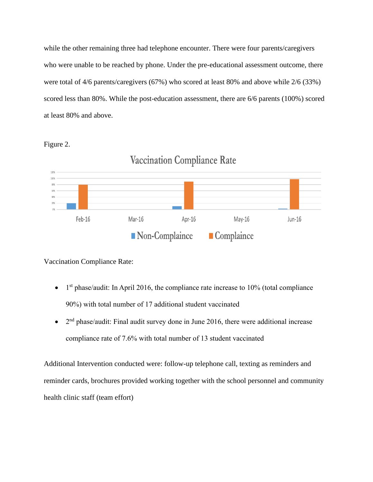while the other remaining three had telephone encounter. There were four parents/caregivers who were unable to be reached by phone. Under the pre-educational assessment outcome, there were total of 4/6 parents/caregivers (67%) who scored at least 80% and above while 2/6 (33%) scored less than 80%. While the post-education assessment, there are 6/6 parents (100%) scored at least 80% and above.

Figure 2.



Vaccination Compliance Rate:

- $\bullet$  1<sup>st</sup> phase/audit: In April 2016, the compliance rate increase to 10% (total compliance 90%) with total number of 17 additional student vaccinated
- $2<sup>nd</sup> phase/audit$ : Final audit survey done in June 2016, there were additional increase compliance rate of 7.6% with total number of 13 student vaccinated

Additional Intervention conducted were: follow-up telephone call, texting as reminders and reminder cards, brochures provided working together with the school personnel and community health clinic staff (team effort)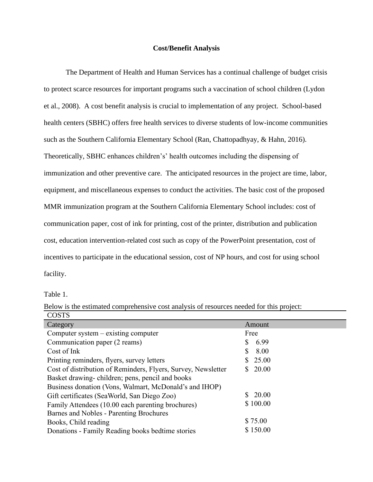#### **Cost/Benefit Analysis**

The Department of Health and Human Services has a continual challenge of budget crisis to protect scarce resources for important programs such a vaccination of school children (Lydon et al., 2008). A cost benefit analysis is crucial to implementation of any project. School-based health centers (SBHC) offers free health services to diverse students of low-income communities such as the Southern California Elementary School (Ran, Chattopadhyay, & Hahn, 2016). Theoretically, SBHC enhances children's' health outcomes including the dispensing of immunization and other preventive care. The anticipated resources in the project are time, labor, equipment, and miscellaneous expenses to conduct the activities. The basic cost of the proposed MMR immunization program at the Southern California Elementary School includes: cost of communication paper, cost of ink for printing, cost of the printer, distribution and publication cost, education intervention-related cost such as copy of the PowerPoint presentation, cost of incentives to participate in the educational session, cost of NP hours, and cost for using school facility.

Table 1.

| <b>COSTS</b>                                                  |              |
|---------------------------------------------------------------|--------------|
| Category                                                      | Amount       |
| Computer system $-$ existing computer                         | Free         |
| Communication paper (2 reams)                                 | 6.99         |
| Cost of Ink                                                   | 8.00<br>S    |
| Printing reminders, flyers, survey letters                    | 25.00<br>SS. |
| Cost of distribution of Reminders, Flyers, Survey, Newsletter | 20.00        |
| Basket drawing-children; pens, pencil and books               |              |
| Business donation (Vons, Walmart, McDonald's and IHOP)        |              |
| Gift certificates (SeaWorld, San Diego Zoo)                   | 20.00        |
| Family Attendees (10.00 each parenting brochures)             | \$100.00     |
| Barnes and Nobles - Parenting Brochures                       |              |
| Books, Child reading                                          | \$75.00      |
| Donations - Family Reading books bedtime stories              | \$150.00     |

Below is the estimated comprehensive cost analysis of resources needed for this project: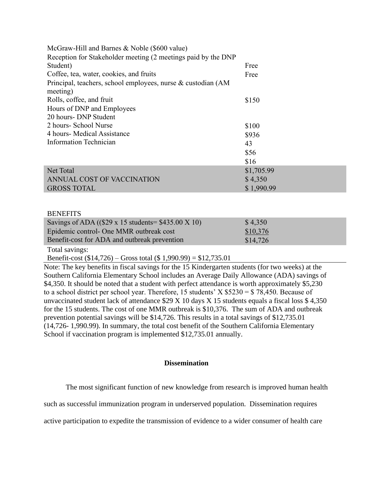| McGraw-Hill and Barnes & Noble (\$600 value)                             |            |
|--------------------------------------------------------------------------|------------|
| Reception for Stakeholder meeting (2 meetings paid by the DNP            |            |
| Student)                                                                 | Free       |
| Coffee, tea, water, cookies, and fruits                                  | Free       |
| Principal, teachers, school employees, nurse & custodian (AM<br>meeting) |            |
| Rolls, coffee, and fruit                                                 | \$150      |
| Hours of DNP and Employees                                               |            |
| 20 hours- DNP Student                                                    |            |
| 2 hours- School Nurse                                                    | \$100      |
| 4 hours- Medical Assistance                                              | \$936      |
| <b>Information Technician</b>                                            | 43         |
|                                                                          | \$56       |
|                                                                          | \$16       |
| Net Total                                                                | \$1,705.99 |
| ANNUAL COST OF VACCINATION                                               | \$4,350    |
| <b>GROSS TOTAL</b>                                                       | \$1,990.99 |
|                                                                          |            |

#### **BENEFITS**

| Savings of ADA ( $(\$29 \times 15$ students= $\$435.00 \times 10$ ) | \$4,350  |
|---------------------------------------------------------------------|----------|
| Epidemic control- One MMR outbreak cost                             | \$10,376 |
| Benefit-cost for ADA and outbreak prevention                        | \$14,726 |

Total savings:

Benefit-cost (\$14,726) – Gross total (\$ 1,990.99) = \$12,735.01

Note: The key benefits in fiscal savings for the 15 Kindergarten students (for two weeks) at the Southern California Elementary School includes an Average Daily Allowance (ADA) savings of \$4,350. It should be noted that a student with perfect attendance is worth approximately \$5,230 to a school district per school year. Therefore, 15 students' X  $$5230 = $78,450$ . Because of unvaccinated student lack of attendance \$29 X 10 days X 15 students equals a fiscal loss \$ 4,350 for the 15 students. The cost of one MMR outbreak is \$10,376. The sum of ADA and outbreak prevention potential savings will be \$14,726. This results in a total savings of \$12,735.01 (14,726- 1,990.99). In summary, the total cost benefit of the Southern California Elementary School if vaccination program is implemented \$12,735.01 annually.

### **Dissemination**

The most significant function of new knowledge from research is improved human health

such as successful immunization program in underserved population. Dissemination requires

active participation to expedite the transmission of evidence to a wider consumer of health care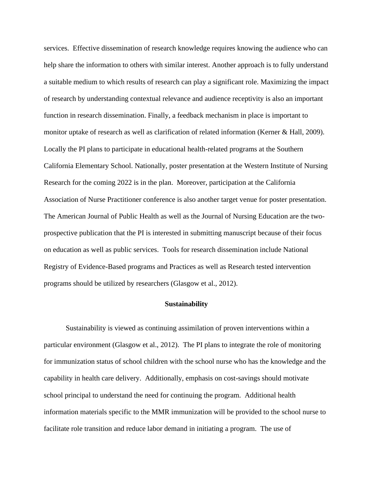services. Effective dissemination of research knowledge requires knowing the audience who can help share the information to others with similar interest. Another approach is to fully understand a suitable medium to which results of research can play a significant role. Maximizing the impact of research by understanding contextual relevance and audience receptivity is also an important function in research dissemination. Finally, a feedback mechanism in place is important to monitor uptake of research as well as clarification of related information (Kerner & Hall, 2009). Locally the PI plans to participate in educational health-related programs at the Southern California Elementary School. Nationally, poster presentation at the Western Institute of Nursing Research for the coming 2022 is in the plan. Moreover, participation at the California Association of Nurse Practitioner conference is also another target venue for poster presentation. The American Journal of Public Health as well as the Journal of Nursing Education are the twoprospective publication that the PI is interested in submitting manuscript because of their focus on education as well as public services. Tools for research dissemination include National Registry of Evidence-Based programs and Practices as well as Research tested intervention programs should be utilized by researchers (Glasgow et al., 2012).

#### **Sustainability**

Sustainability is viewed as continuing assimilation of proven interventions within a particular environment (Glasgow et al., 2012). The PI plans to integrate the role of monitoring for immunization status of school children with the school nurse who has the knowledge and the capability in health care delivery. Additionally, emphasis on cost-savings should motivate school principal to understand the need for continuing the program. Additional health information materials specific to the MMR immunization will be provided to the school nurse to facilitate role transition and reduce labor demand in initiating a program. The use of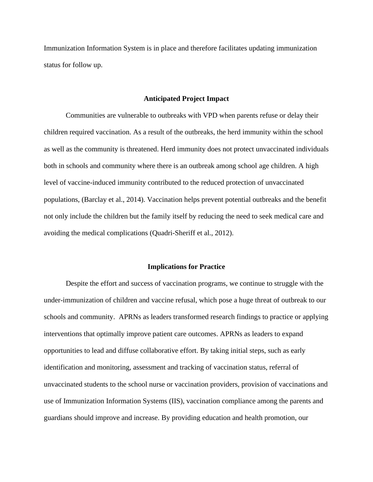Immunization Information System is in place and therefore facilitates updating immunization status for follow up.

#### **Anticipated Project Impact**

Communities are vulnerable to outbreaks with VPD when parents refuse or delay their children required vaccination. As a result of the outbreaks, the herd immunity within the school as well as the community is threatened. Herd immunity does not protect unvaccinated individuals both in schools and community where there is an outbreak among school age children. A high level of vaccine-induced immunity contributed to the reduced protection of unvaccinated populations, (Barclay et al., 2014). Vaccination helps prevent potential outbreaks and the benefit not only include the children but the family itself by reducing the need to seek medical care and avoiding the medical complications (Quadri-Sheriff et al., 2012).

#### **Implications for Practice**

Despite the effort and success of vaccination programs, we continue to struggle with the under-immunization of children and vaccine refusal, which pose a huge threat of outbreak to our schools and community. APRNs as leaders transformed research findings to practice or applying interventions that optimally improve patient care outcomes. APRNs as leaders to expand opportunities to lead and diffuse collaborative effort. By taking initial steps, such as early identification and monitoring, assessment and tracking of vaccination status, referral of unvaccinated students to the school nurse or vaccination providers, provision of vaccinations and use of Immunization Information Systems (IIS), vaccination compliance among the parents and guardians should improve and increase. By providing education and health promotion, our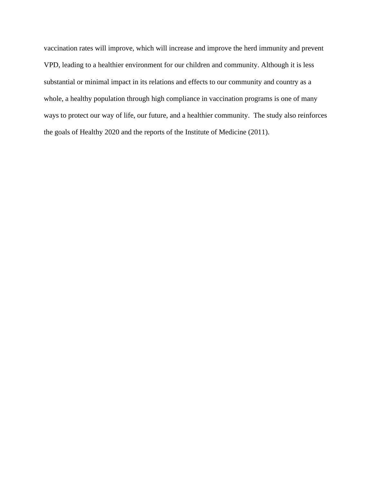vaccination rates will improve, which will increase and improve the herd immunity and prevent VPD, leading to a healthier environment for our children and community. Although it is less substantial or minimal impact in its relations and effects to our community and country as a whole, a healthy population through high compliance in vaccination programs is one of many ways to protect our way of life, our future, and a healthier community. The study also reinforces the goals of Healthy 2020 and the reports of the Institute of Medicine (2011).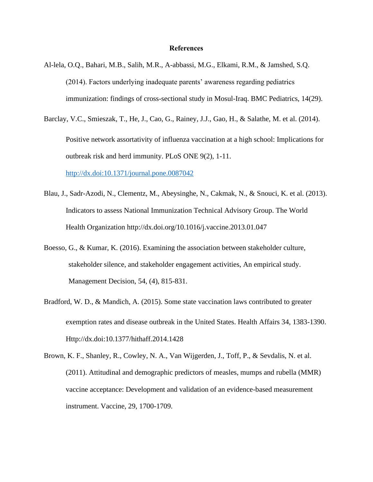#### **References**

- Al-lela, O.Q., Bahari, M.B., Salih, M.R., A-abbassi, M.G., Elkami, R.M., & Jamshed, S.Q. (2014). Factors underlying inadequate parents' awareness regarding pediatrics immunization: findings of cross-sectional study in Mosul-Iraq. BMC Pediatrics, 14(29).
- Barclay, V.C., Smieszak, T., He, J., Cao, G., Rainey, J.J., Gao, H., & Salathe, M. et al. (2014). Positive network assortativity of influenza vaccination at a high school: Implications for outbreak risk and herd immunity. PLoS ONE 9(2), 1-11.

<http://dx.doi:10.1371/journal.pone.0087042>

- Blau, J., Sadr-Azodi, N., Clementz, M., Abeysinghe, N., Cakmak, N., & Snouci, K. et al. (2013). Indicators to assess National Immunization Technical Advisory Group. The World Health Organization http://dx.doi.org/10.1016/j.vaccine.2013.01.047
- Boesso, G., & Kumar, K. (2016). Examining the association between stakeholder culture, stakeholder silence, and stakeholder engagement activities, An empirical study. Management Decision, 54, (4), 815-831.
- Bradford, W. D., & Mandich, A. (2015). Some state vaccination laws contributed to greater exemption rates and disease outbreak in the United States. Health Affairs 34, 1383-1390. Http://dx.doi:10.1377/hithaff.2014.1428
- Brown, K. F., Shanley, R., Cowley, N. A., Van Wijgerden, J., Toff, P., & Sevdalis, N. et al. (2011). Attitudinal and demographic predictors of measles, mumps and rubella (MMR) vaccine acceptance: Development and validation of an evidence-based measurement instrument. Vaccine, 29, 1700-1709.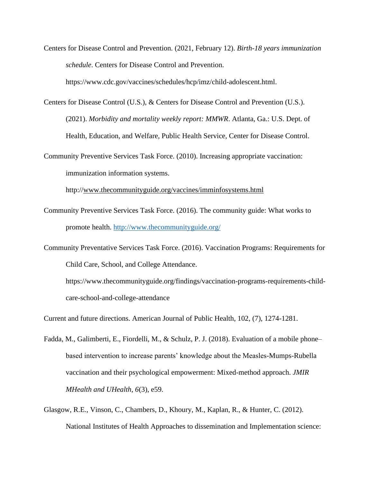Centers for Disease Control and Prevention. (2021, February 12). *Birth-18 years immunization schedule*. Centers for Disease Control and Prevention.

https://www.cdc.gov/vaccines/schedules/hcp/imz/child-adolescent.html.

Centers for Disease Control (U.S.), & Centers for Disease Control and Prevention (U.S.). (2021). *Morbidity and mortality weekly report: MMWR*. Atlanta, Ga.: U.S. Dept. of Health, Education, and Welfare, Public Health Service, Center for Disease Control.

Community Preventive Services Task Force. (2010). Increasing appropriate vaccination: immunization information systems.

http:/[/www.thecommunityguide.org/vaccines/imminfosystems.html](http://www.thecommunityguide.org/vaccines/imminfosystems.html)

- Community Preventive Services Task Force. (2016). The community guide: What works to promote health.<http://www.thecommunityguide.org/>
- Community Preventative Services Task Force. (2016). Vaccination Programs: Requirements for Child Care, School, and College Attendance.

https://www.thecommunityguide.org/findings/vaccination-programs-requirements-childcare-school-and-college-attendance

Current and future directions. American Journal of Public Health, 102, (7), 1274-1281.

- Fadda, M., Galimberti, E., Fiordelli, M., & Schulz, P. J. (2018). Evaluation of a mobile phone– based intervention to increase parents' knowledge about the Measles-Mumps-Rubella vaccination and their psychological empowerment: Mixed-method approach. *JMIR MHealth and UHealth, 6*(3), e59.
- Glasgow, R.E., Vinson, C., Chambers, D., Khoury, M., Kaplan, R., & Hunter, C. (2012). National Institutes of Health Approaches to dissemination and Implementation science: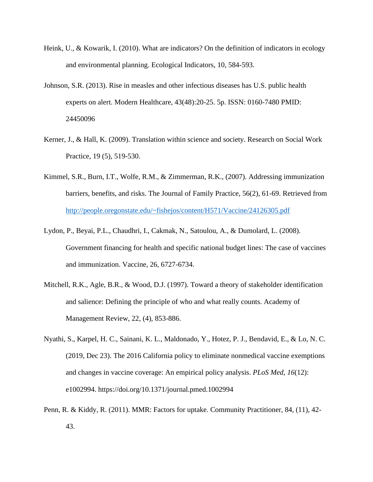- Heink, U., & Kowarik, I. (2010). What are indicators? On the definition of indicators in ecology and environmental planning. Ecological Indicators, 10, 584-593.
- Johnson, S.R. (2013). Rise in measles and other infectious diseases has U.S. public health experts on alert. Modern Healthcare, 43(48):20-25. 5p. ISSN: 0160-7480 PMID: 24450096
- Kerner, J., & Hall, K. (2009). Translation within science and society. Research on Social Work Practice, 19 (5), 519-530.
- Kimmel, S.R., Burn, I.T., Wolfe, R.M., & Zimmerman, R.K., (2007). Addressing immunization barriers, benefits, and risks. The Journal of Family Practice, 56(2), 61-69. Retrieved from <http://people.oregonstate.edu/~fishejos/content/H571/Vaccine/24126305.pdf>
- Lydon, P., Beyai, P.L., Chaudhri, I., Cakmak, N., Satoulou, A., & Dumolard, L. (2008). Government financing for health and specific national budget lines: The case of vaccines and immunization. Vaccine, 26, 6727-6734.
- Mitchell, R.K., Agle, B.R., & Wood, D.J. (1997). Toward a theory of stakeholder identification and salience: Defining the principle of who and what really counts. Academy of Management Review, 22, (4), 853-886.
- Nyathi, S., Karpel, H. C., Sainani, K. L., Maldonado, Y., Hotez, P. J., Bendavid, E., & Lo, N. C. (2019, Dec 23). The 2016 California policy to eliminate nonmedical vaccine exemptions and changes in vaccine coverage: An empirical policy analysis. *PLoS Med, 16*(12): e1002994. https://doi.org/10.1371/journal.pmed.1002994
- Penn, R. & Kiddy, R. (2011). MMR: Factors for uptake. Community Practitioner, 84, (11), 42- 43.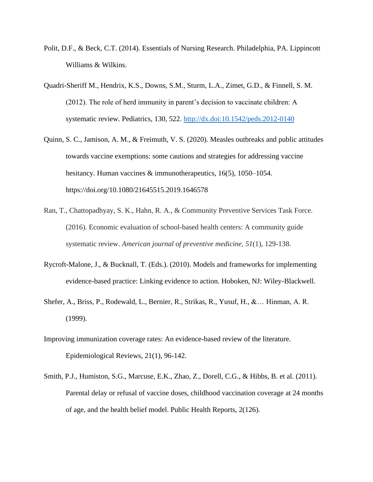- Polit, D.F., & Beck, C.T. (2014). Essentials of Nursing Research. Philadelphia, PA. Lippincott Williams & Wilkins.
- Quadri-Sheriff M., Hendrix, K.S., Downs, S.M., Sturm, L.A., Zimet, G.D., & Finnell, S. M. (2012). The role of herd immunity in parent's decision to vaccinate children: A systematic review. Pediatrics, 130, 522.<http://dx.doi:10.1542/peds.2012-0140>
- Quinn, S. C., Jamison, A. M., & Freimuth, V. S. (2020). Measles outbreaks and public attitudes towards vaccine exemptions: some cautions and strategies for addressing vaccine hesitancy. Human vaccines & immunotherapeutics, 16(5), 1050–1054. https://doi.org/10.1080/21645515.2019.1646578
- Ran, T., Chattopadhyay, S. K., Hahn, R. A., & Community Preventive Services Task Force. (2016). Economic evaluation of school-based health centers: A community guide systematic review. *American journal of preventive medicine*, *51*(1), 129-138.
- Rycroft-Malone, J., & Bucknall, T. (Eds.). (2010). Models and frameworks for implementing evidence-based practice: Linking evidence to action. Hoboken, NJ: Wiley-Blackwell.
- Shefer, A., Briss, P., Rodewald, L., Bernier, R., Strikas, R., Yusuf, H., &… Hinman, A. R. (1999).
- Improving immunization coverage rates: An evidence-based review of the literature. Epidemiological Reviews, 21(1), 96-142.
- Smith, P.J., Humiston, S.G., Marcuse, E.K., Zhao, Z., Dorell, C.G., & Hibbs, B. et al. (2011). Parental delay or refusal of vaccine doses, childhood vaccination coverage at 24 months of age, and the health belief model. Public Health Reports, 2(126).